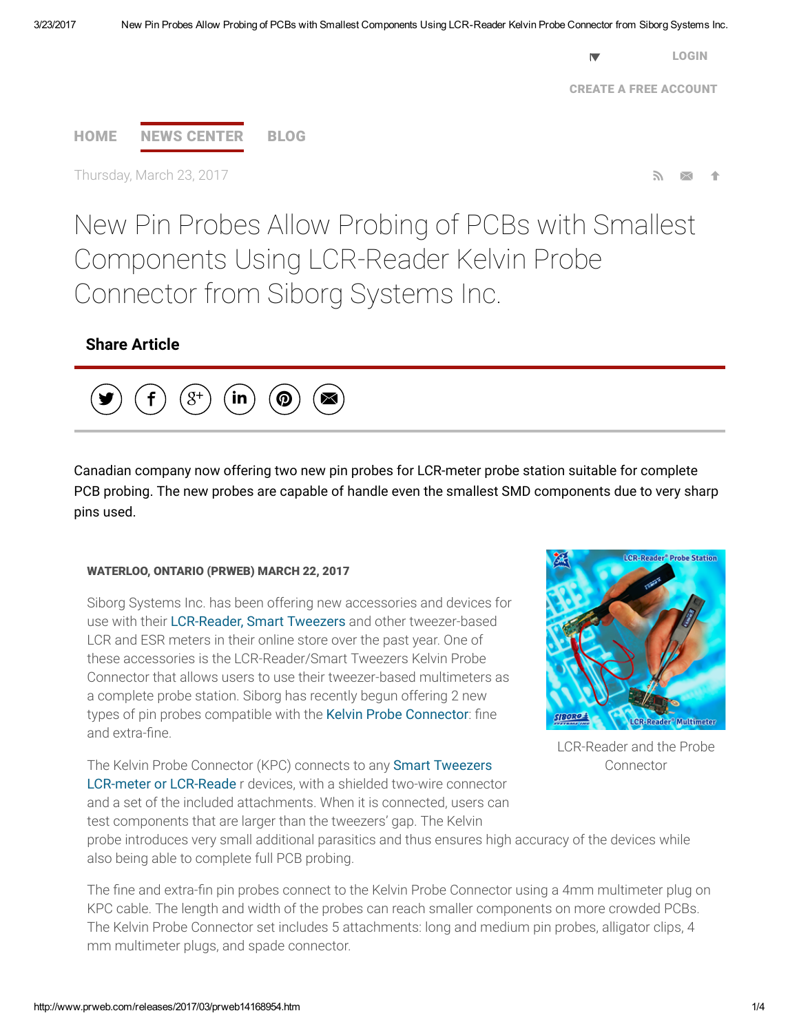[LOGIN](https://app.prweb.com/Login.aspx) United States

CREATE A FREE [ACCOUNT](https://app.prweb.com/prweb/register.aspx)



Thursday, March 23, 2017

New Pin Probes Allow Probing of PCBs with Smallest Components Using LCR-Reader Kelvin Probe Connector from Siborg Systems Inc.

# Share Article



Canadian company now offering two new pin probes for LCR-meter probe station suitable for complete PCB probing. The new probes are capable of handle even the smallest SMD components due to very sharp pins used.

#### WATERLOO, ONTARIO (PRWEB) MARCH 22, 2017

Siborg Systems Inc. has been offering new accessories and devices for use with their [LCR-Reader,](http://www.lcr-reader.com/) Smart Tweezers and other tweezer-based LCR and ESR meters in their online store over the past year. One of these accessories is the LCR-Reader/Smart Tweezers Kelvin Probe Connector that allows users to use their tweezer-based multimeters as a complete probe station. Siborg has recently begun offering 2 new types of pin probes compatible with the Kelvin Probe [Connector](http://www.lcr-reader.com/LCR_probe_connector.html): fine and extra-fine.



LCR-Reader and the Probe Connector

The Kelvin Probe Connector (KPC) connects to any Smart Tweezers LCR-meter or [LCR-Reade](http://www.smarttweezers.us/) r devices, with a shielded two-wire connector and a set of the included attachments. When it is connected, users can test components that are larger than the tweezers' gap. The Kelvin

probe introduces very small additional parasitics and thus ensures high accuracy of the devices while also being able to complete full PCB probing.

The fine and extra-fin pin probes connect to the Kelvin Probe Connector using a 4mm multimeter plug on KPC cable. The length and width of the probes can reach smaller components on more crowded PCBs. The Kelvin Probe Connector set includes 5 attachments: long and medium pin probes, alligator clips, 4 mm multimeter plugs, and spade connector.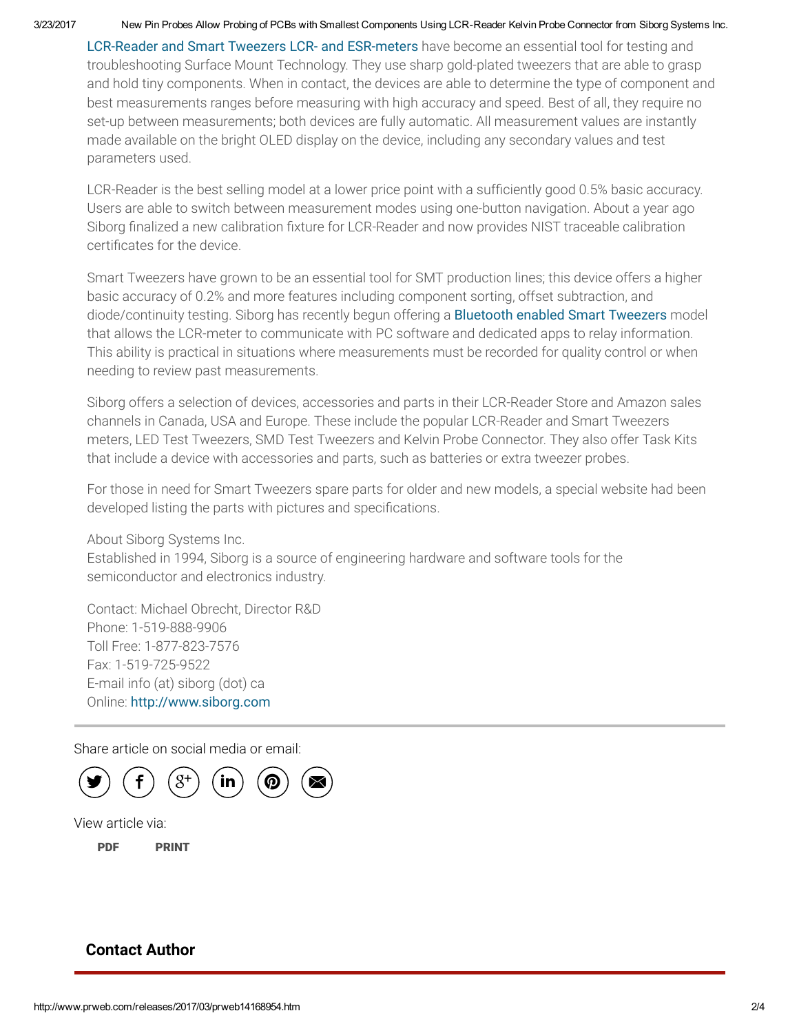#### 3/23/2017 New Pin Probes Allow Probing of PCBs with Smallest Components Using LCR-Reader Kelvin Probe Connector from Siborg Systems Inc.

[LCR-Reader](http://www.smarttweezers.by/) and Smart Tweezers LCR- and ESR-meters have become an essential tool for testing and troubleshooting Surface Mount Technology. They use sharp gold-plated tweezers that are able to grasp and hold tiny components. When in contact, the devices are able to determine the type of component and best measurements ranges before measuring with high accuracy and speed. Best of all, they require no set-up between measurements; both devices are fully automatic. All measurement values are instantly made available on the bright OLED display on the device, including any secondary values and test parameters used.

LCR-Reader is the best selling model at a lower price point with a sufficiently good 0.5% basic accuracy. Users are able to switch between measurement modes using one-button navigation. About a year ago Siborg finalized a new calibration fixture for LCR-Reader and now provides NIST traceable calibration certificates for the device.

Smart Tweezers have grown to be an essential tool for SMT production lines; this device offers a higher basic accuracy of 0.2% and more features including component sorting, offset subtraction, and diode/continuity testing. Siborg has recently begun offering a [Bluetooth](http://www.lcr-reader.com/bluetooth.html) enabled Smart Tweezers model that allows the LCR-meter to communicate with PC software and dedicated apps to relay information. This ability is practical in situations where measurements must be recorded for quality control or when needing to review past measurements.

Siborg offers a selection of devices, accessories and parts in their LCR-Reader Store and Amazon sales channels in Canada, USA and Europe. These include the popular LCR-Reader and Smart Tweezers meters, LED Test Tweezers, SMD Test Tweezers and Kelvin Probe Connector. They also offer Task Kits that include a device with accessories and parts, such as batteries or extra tweezer probes.

For those in need for Smart Tweezers spare parts for older and new models, a special website had been developed listing the parts with pictures and specifications.

About Siborg Systems Inc. Established in 1994, Siborg is a source of engineering hardware and software tools for the semiconductor and electronics industry.

Contact: Michael Obrecht, Director R&D Phone: 1-519-888-9906 Toll Free: 1-877-823-7576 Fax: 1-519-725-9522 E-mail info (at) siborg (dot) ca Online: [http://www.siborg.com](http://www.siborg.com/)

Share article on social media or email:



View article via:

[PDF](http://www.prweb.com/pdfdownload/14168954.pdf) [PRINT](http://www.prweb.com/printer/14168954.htm)

## Contact Author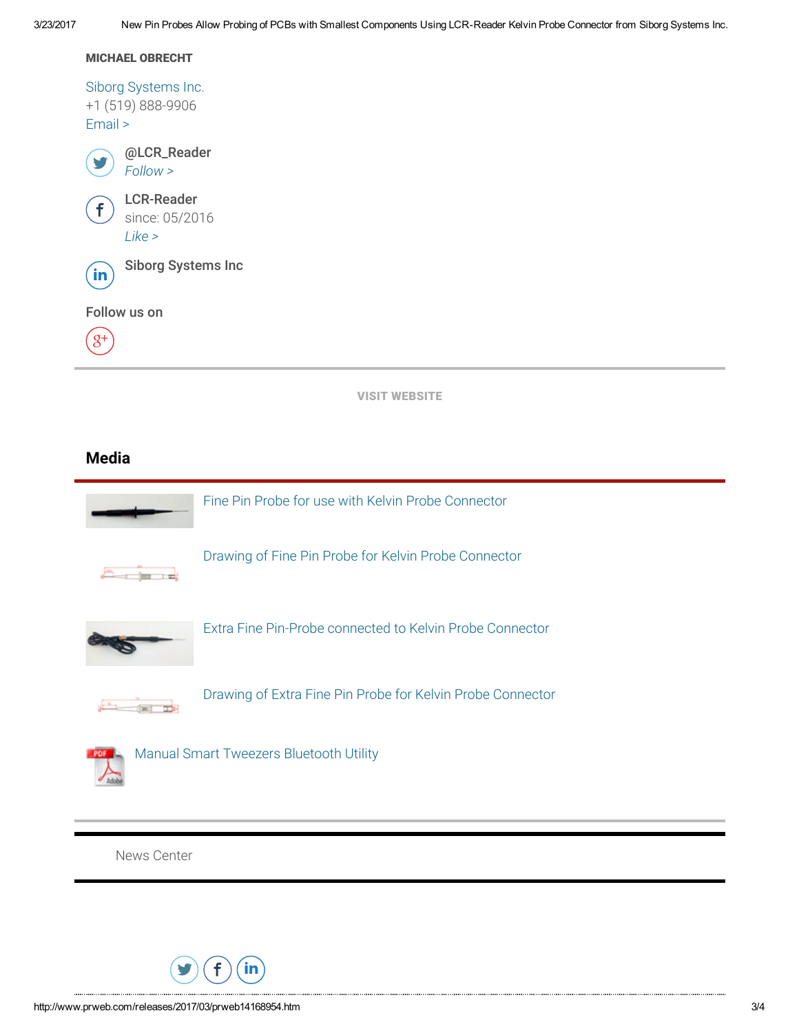MICHAEL OBRECHT

Siborg [Systems](http://www.smarttweezers.us/) Inc. +1 (519) 888-9906 [Email](http://www.prweb.com/EmailContact.aspx?prid=14168954) >



LCR-Reader since: 05/2016 [Like](https://www.facebook.com/pages/LCR-Reader/1733366323569333) >

 $f$ 

in) Siborg Systems Inc

Follow us on

 $8<sup>+</sup>$ 

VISIT [WEBSITE](http://www.smarttweezers.in/)

## Media



News [Center](http://www.prweb.com/recentnews/)